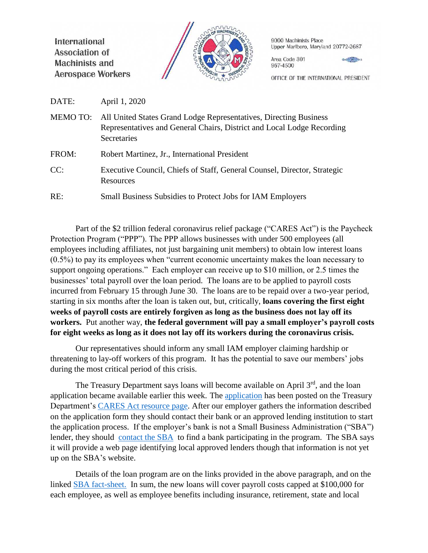International **Association of Machinists and Aerospace Workers** 



9000 Machinists Place Upper Marlboro, Maryland 20772-2687

Area Code 301 967-4500

 $x + \frac{1}{2}$ 

OFFICE OF THE INTERNATIONAL PRESIDENT

DATE: April 1, 2020

MEMO TO: All United States Grand Lodge Representatives, Directing Business Representatives and General Chairs, District and Local Lodge Recording Secretaries

FROM: Robert Martinez, Jr., International President

CC: Executive Council, Chiefs of Staff, General Counsel, Director, Strategic **Resources** 

RE: Small Business Subsidies to Protect Jobs for IAM Employers

Part of the \$2 trillion federal coronavirus relief package ("CARES Act") is the Paycheck Protection Program ("PPP"). The PPP allows businesses with under 500 employees (all employees including affiliates, not just bargaining unit members) to obtain low interest loans (0.5%) to pay its employees when "current economic uncertainty makes the loan necessary to support ongoing operations." Each employer can receive up to \$10 million, or 2.5 times the businesses' total payroll over the loan period. The loans are to be applied to payroll costs incurred from February 15 through June 30. The loans are to be repaid over a two-year period, starting in six months after the loan is taken out, but, critically, **loans covering the first eight weeks of payroll costs are entirely forgiven as long as the business does not lay off its workers.** Put another way, **the federal government will pay a small employer's payroll costs for eight weeks as long as it does not lay off its workers during the coronavirus crisis.** 

Our representatives should inform any small IAM employer claiming hardship or threatening to lay-off workers of this program. It has the potential to save our members' jobs during the most critical period of this crisis.

The Treasury Department says loans will become available on April  $3<sup>rd</sup>$ , and the loan application became available earlier this week. The [application](https://home.treasury.gov/system/files/136/Paycheck-Protection-Program-Application-3-30-2020-v3.pdf) has been posted on the Treasury Department's [CARES Act resource page.](https://home.treasury.gov/cares) After our employer gathers the information described on the application form they should contact their bank or an approved lending institution to start the application process. If the employer's bank is not a Small Business Administration ("SBA") lender, they should [contact the SBA](https://www.sba.gov/funding-programs/loans) to find a bank participating in the program. The SBA says it will provide a web page identifying local approved lenders though that information is not yet up on the SBA's website.

Details of the loan program are on the links provided in the above paragraph, and on the linked [SBA fact-sheet.](https://www.sba.gov/page/coronavirus-covid-19-small-business-guidance-loan-resources) In sum, the new loans will cover payroll costs capped at \$100,000 for each employee, as well as employee benefits including insurance, retirement, state and local